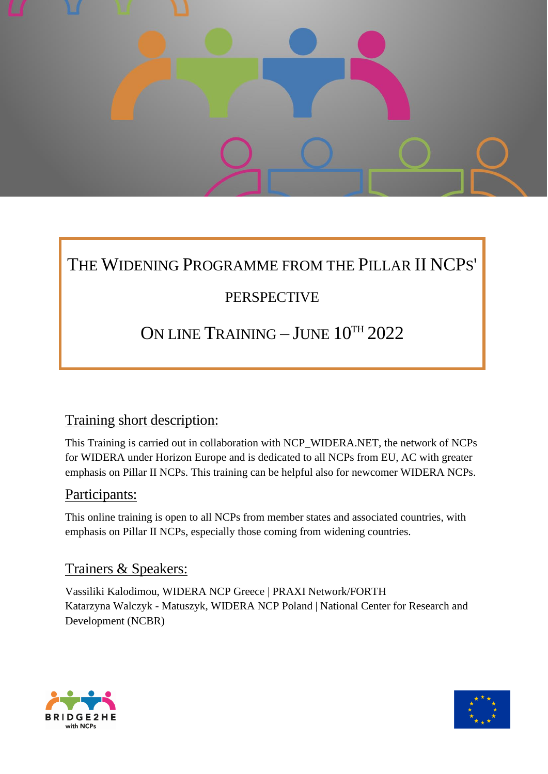

# THE WIDENING PROGRAMME FROM THE PILLAR II NCPS'

## PERSPECTIVE

## ON LINE TRAINING – JUNE 10TH 2022

### Training short description:

This Training is carried out in collaboration with NCP\_WIDERA.NET, the network of NCPs for WIDERA under Horizon Europe and is dedicated to all NCPs from EU, AC with greater emphasis on Pillar II NCPs. This training can be helpful also for newcomer WIDERA NCPs.

#### Participants:

This online training is open to all NCPs from member states and associated countries, with emphasis on Pillar II NCPs, especially those coming from widening countries.

### Trainers & Speakers:

Vassiliki Kalodimou, WIDERA NCP Greece | PRAXI Network/FORTH Katarzyna Walczyk - Matuszyk, WIDERA NCP Poland | National Center for Research and Development (NCBR)